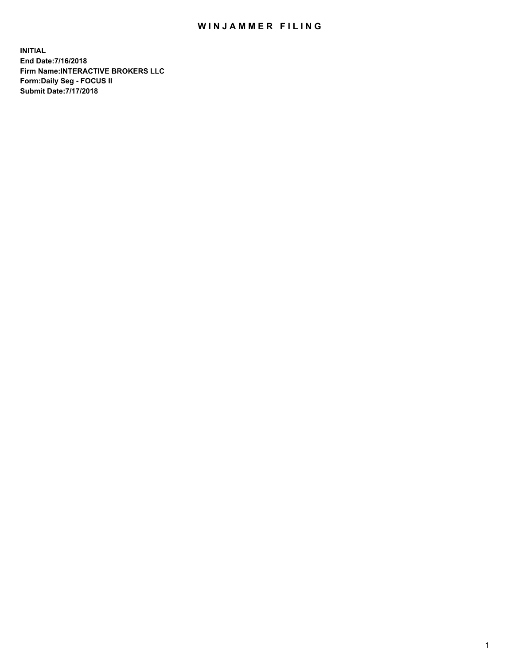## WIN JAMMER FILING

**INITIAL End Date:7/16/2018 Firm Name:INTERACTIVE BROKERS LLC Form:Daily Seg - FOCUS II Submit Date:7/17/2018**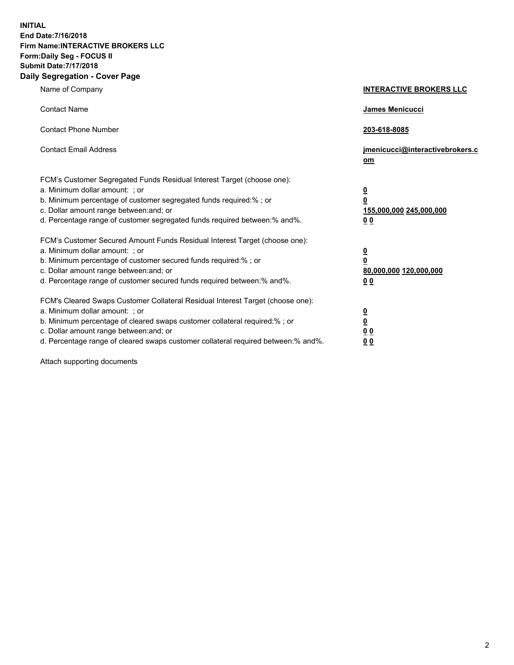**INITIAL End Date:7/16/2018 Firm Name:INTERACTIVE BROKERS LLC Form:Daily Seg - FOCUS II Submit Date:7/17/2018 Daily Segregation - Cover Page**

| Name of Company                                                                                                                                                                                                                                                                                                                | <b>INTERACTIVE BROKERS LLC</b>                                                                  |
|--------------------------------------------------------------------------------------------------------------------------------------------------------------------------------------------------------------------------------------------------------------------------------------------------------------------------------|-------------------------------------------------------------------------------------------------|
| <b>Contact Name</b>                                                                                                                                                                                                                                                                                                            | James Menicucci                                                                                 |
| <b>Contact Phone Number</b>                                                                                                                                                                                                                                                                                                    | 203-618-8085                                                                                    |
| <b>Contact Email Address</b>                                                                                                                                                                                                                                                                                                   | jmenicucci@interactivebrokers.c<br>om                                                           |
| FCM's Customer Segregated Funds Residual Interest Target (choose one):<br>a. Minimum dollar amount: ; or<br>b. Minimum percentage of customer segregated funds required:% ; or<br>c. Dollar amount range between: and; or<br>d. Percentage range of customer segregated funds required between:% and%.                         | $\overline{\mathbf{0}}$<br>$\overline{\mathbf{0}}$<br>155,000,000 245,000,000<br>0 <sub>0</sub> |
| FCM's Customer Secured Amount Funds Residual Interest Target (choose one):<br>a. Minimum dollar amount: ; or<br>b. Minimum percentage of customer secured funds required:% ; or<br>c. Dollar amount range between: and; or<br>d. Percentage range of customer secured funds required between:% and%.                           | $\overline{\mathbf{0}}$<br>0<br>80,000,000 120,000,000<br>0 <sub>0</sub>                        |
| FCM's Cleared Swaps Customer Collateral Residual Interest Target (choose one):<br>a. Minimum dollar amount: ; or<br>b. Minimum percentage of cleared swaps customer collateral required:% ; or<br>c. Dollar amount range between: and; or<br>d. Percentage range of cleared swaps customer collateral required between:% and%. | $\overline{\mathbf{0}}$<br><u>0</u><br>$\underline{0}$ $\underline{0}$<br>00                    |

Attach supporting documents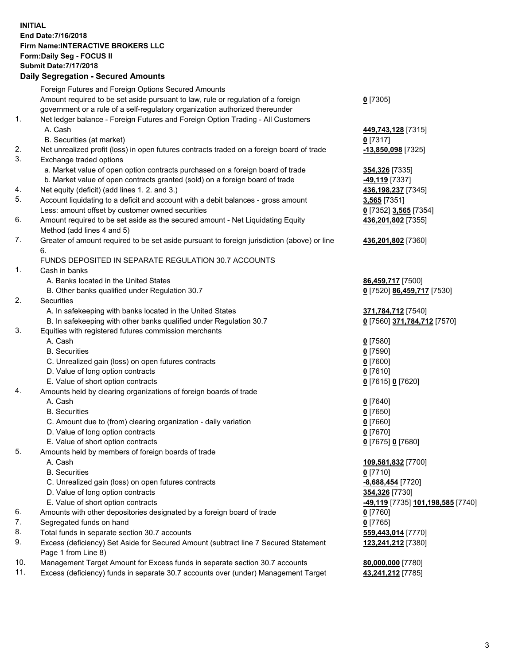## **INITIAL End Date:7/16/2018 Firm Name:INTERACTIVE BROKERS LLC Form:Daily Seg - FOCUS II Submit Date:7/17/2018 Daily Segregation - Secured Amounts**

|     | Daily Segregation - Secured Amounts                                                         |                                                 |
|-----|---------------------------------------------------------------------------------------------|-------------------------------------------------|
|     | Foreign Futures and Foreign Options Secured Amounts                                         |                                                 |
|     | Amount required to be set aside pursuant to law, rule or regulation of a foreign            | $0$ [7305]                                      |
|     | government or a rule of a self-regulatory organization authorized thereunder                |                                                 |
| 1.  | Net ledger balance - Foreign Futures and Foreign Option Trading - All Customers             |                                                 |
|     | A. Cash                                                                                     | 449,743,128 [7315]                              |
|     | B. Securities (at market)                                                                   | $0$ [7317]                                      |
| 2.  | Net unrealized profit (loss) in open futures contracts traded on a foreign board of trade   | 13,850,098 [7325]                               |
| 3.  | Exchange traded options                                                                     |                                                 |
|     | a. Market value of open option contracts purchased on a foreign board of trade              | 354,326 [7335]                                  |
|     | b. Market value of open contracts granted (sold) on a foreign board of trade                | -49,119 [7337]                                  |
| 4.  | Net equity (deficit) (add lines 1. 2. and 3.)                                               | 436,198,237 [7345]                              |
| 5.  | Account liquidating to a deficit and account with a debit balances - gross amount           | 3,565 [7351]                                    |
|     | Less: amount offset by customer owned securities                                            | 0 [7352] 3,565 [7354]                           |
| 6.  | Amount required to be set aside as the secured amount - Net Liquidating Equity              | 436,201,802 [7355]                              |
|     | Method (add lines 4 and 5)                                                                  |                                                 |
| 7.  | Greater of amount required to be set aside pursuant to foreign jurisdiction (above) or line | 436,201,802 [7360]                              |
|     | 6.                                                                                          |                                                 |
|     | FUNDS DEPOSITED IN SEPARATE REGULATION 30.7 ACCOUNTS                                        |                                                 |
| 1.  | Cash in banks                                                                               |                                                 |
|     | A. Banks located in the United States                                                       | 86,459,717 [7500]                               |
|     | B. Other banks qualified under Regulation 30.7                                              | 0 [7520] 86,459,717 [7530]                      |
| 2.  | Securities                                                                                  |                                                 |
|     | A. In safekeeping with banks located in the United States                                   | 371,784,712 [7540]                              |
|     | B. In safekeeping with other banks qualified under Regulation 30.7                          | 0 [7560] 371,784,712 [7570]                     |
| 3.  | Equities with registered futures commission merchants                                       |                                                 |
|     | A. Cash                                                                                     | $0$ [7580]                                      |
|     | <b>B.</b> Securities                                                                        | $0$ [7590]                                      |
|     | C. Unrealized gain (loss) on open futures contracts                                         | $0$ [7600]                                      |
|     | D. Value of long option contracts                                                           | $0$ [7610]                                      |
|     | E. Value of short option contracts                                                          | 0 [7615] 0 [7620]                               |
| 4.  | Amounts held by clearing organizations of foreign boards of trade                           |                                                 |
|     | A. Cash                                                                                     | $0$ [7640]                                      |
|     | <b>B.</b> Securities                                                                        | $0$ [7650]                                      |
|     |                                                                                             | $0$ [7660]                                      |
|     | C. Amount due to (from) clearing organization - daily variation                             | $0$ [7670]                                      |
|     | D. Value of long option contracts                                                           |                                                 |
| 5.  | E. Value of short option contracts                                                          | 0 [7675] 0 [7680]                               |
|     | Amounts held by members of foreign boards of trade                                          |                                                 |
|     | A. Cash                                                                                     | 109,581,832 [7700]                              |
|     | <b>B.</b> Securities                                                                        | $0$ [7710]                                      |
|     | C. Unrealized gain (loss) on open futures contracts                                         | -8,688,454 [7720]                               |
|     | D. Value of long option contracts                                                           | 354,326 [7730]                                  |
|     | E. Value of short option contracts                                                          | <u>-49,119</u> [7735] <u>101,198,585</u> [7740] |
| 6.  | Amounts with other depositories designated by a foreign board of trade                      | $0$ [7760]                                      |
| 7.  | Segregated funds on hand                                                                    | $0$ [7765]                                      |
| 8.  | Total funds in separate section 30.7 accounts                                               | 559,443,014 [7770]                              |
| 9.  | Excess (deficiency) Set Aside for Secured Amount (subtract line 7 Secured Statement         | 123,241,212 [7380]                              |
|     | Page 1 from Line 8)                                                                         |                                                 |
| 10. | Management Target Amount for Excess funds in separate section 30.7 accounts                 | 80,000,000 [7780]                               |
| 11. | Excess (deficiency) funds in separate 30.7 accounts over (under) Management Target          | 43,241,212 [7785]                               |
|     |                                                                                             |                                                 |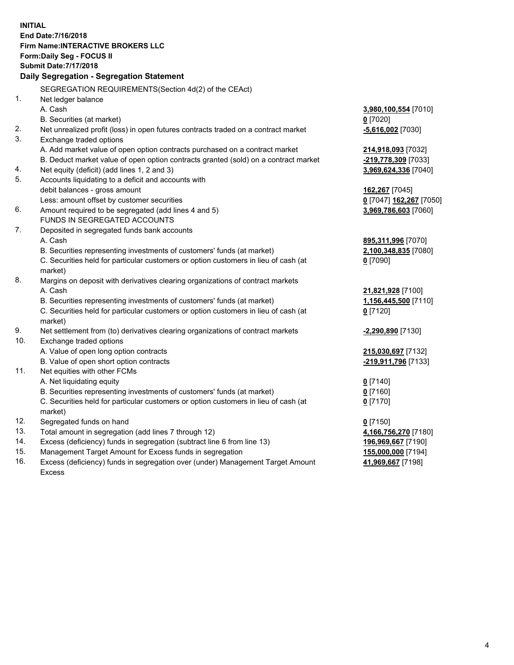**INITIAL End Date:7/16/2018 Firm Name:INTERACTIVE BROKERS LLC Form:Daily Seg - FOCUS II Submit Date:7/17/2018 Daily Segregation - Segregation Statement** SEGREGATION REQUIREMENTS(Section 4d(2) of the CEAct) 1. Net ledger balance A. Cash **3,980,100,554** [7010] B. Securities (at market) **0** [7020] 2. Net unrealized profit (loss) in open futures contracts traded on a contract market **-5,616,002** [7030] 3. Exchange traded options A. Add market value of open option contracts purchased on a contract market **214,918,093** [7032] B. Deduct market value of open option contracts granted (sold) on a contract market **-219,778,309** [7033] 4. Net equity (deficit) (add lines 1, 2 and 3) **3,969,624,336** [7040] 5. Accounts liquidating to a deficit and accounts with debit balances - gross amount **162,267** [7045] Less: amount offset by customer securities **0** [7047] **162,267** [7050] 6. Amount required to be segregated (add lines 4 and 5) **3,969,786,603** [7060] FUNDS IN SEGREGATED ACCOUNTS 7. Deposited in segregated funds bank accounts A. Cash **895,311,996** [7070] B. Securities representing investments of customers' funds (at market) **2,100,348,835** [7080] C. Securities held for particular customers or option customers in lieu of cash (at market) **0** [7090] 8. Margins on deposit with derivatives clearing organizations of contract markets A. Cash **21,821,928** [7100] B. Securities representing investments of customers' funds (at market) **1,156,445,500** [7110] C. Securities held for particular customers or option customers in lieu of cash (at market) **0** [7120] 9. Net settlement from (to) derivatives clearing organizations of contract markets **-2,290,890** [7130] 10. Exchange traded options A. Value of open long option contracts **215,030,697** [7132] B. Value of open short option contracts **-219,911,796** [7133] 11. Net equities with other FCMs A. Net liquidating equity **0** [7140] B. Securities representing investments of customers' funds (at market) **0** [7160] C. Securities held for particular customers or option customers in lieu of cash (at market) **0** [7170] 12. Segregated funds on hand **0** [7150] 13. Total amount in segregation (add lines 7 through 12) **4,166,756,270** [7180] 14. Excess (deficiency) funds in segregation (subtract line 6 from line 13) **196,969,667** [7190] 15. Management Target Amount for Excess funds in segregation **155,000,000** [7194]

16. Excess (deficiency) funds in segregation over (under) Management Target Amount Excess

**41,969,667** [7198]